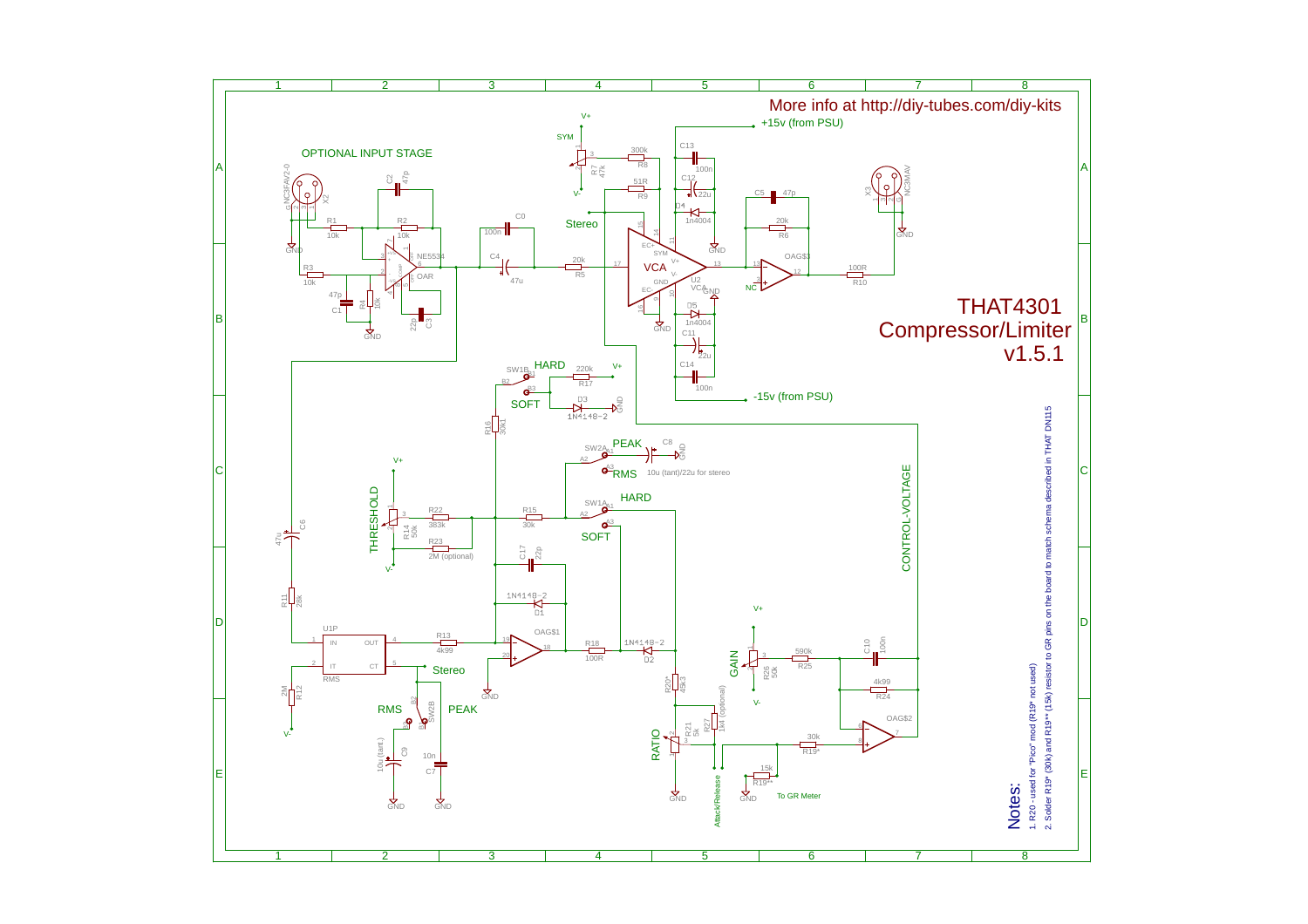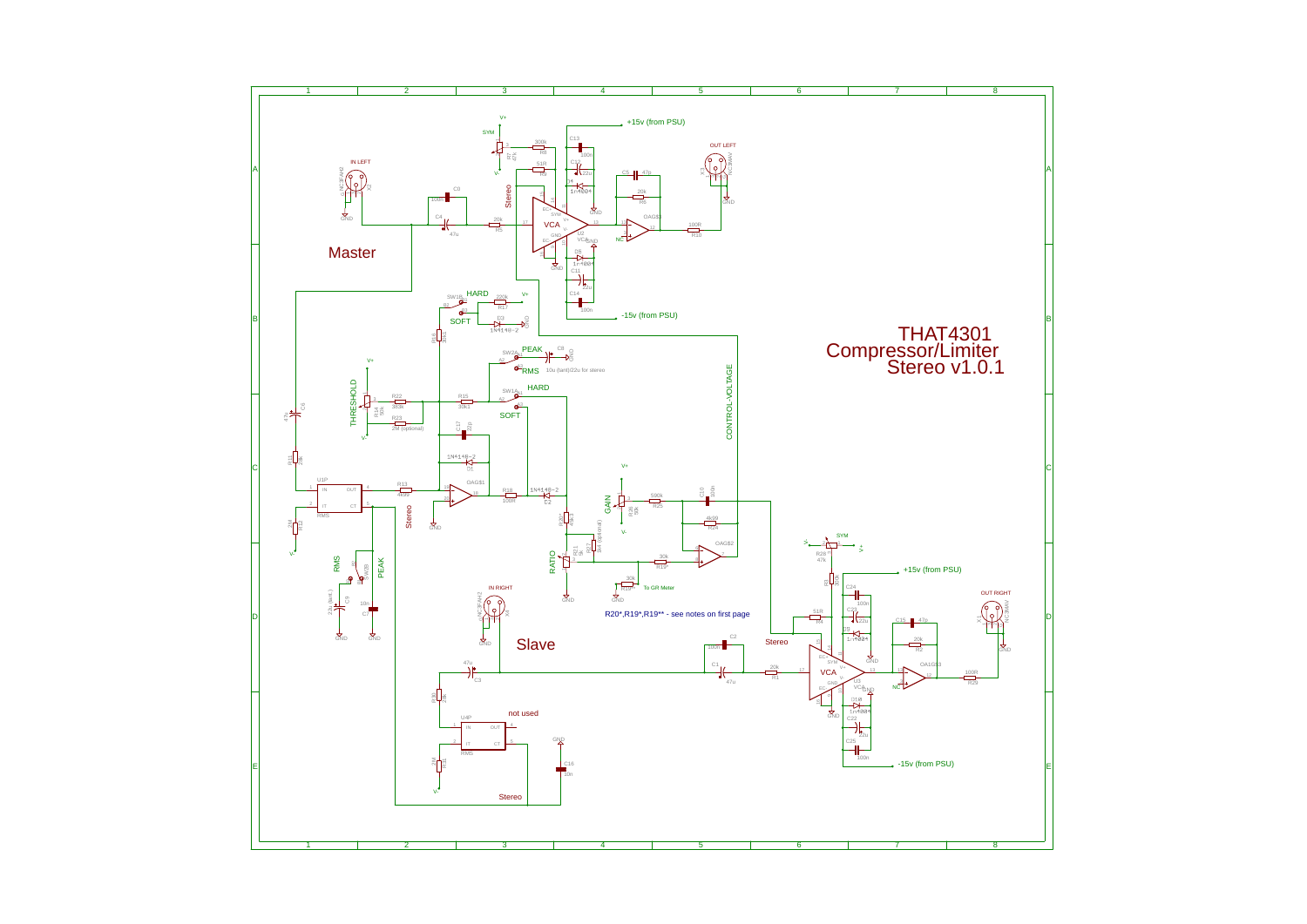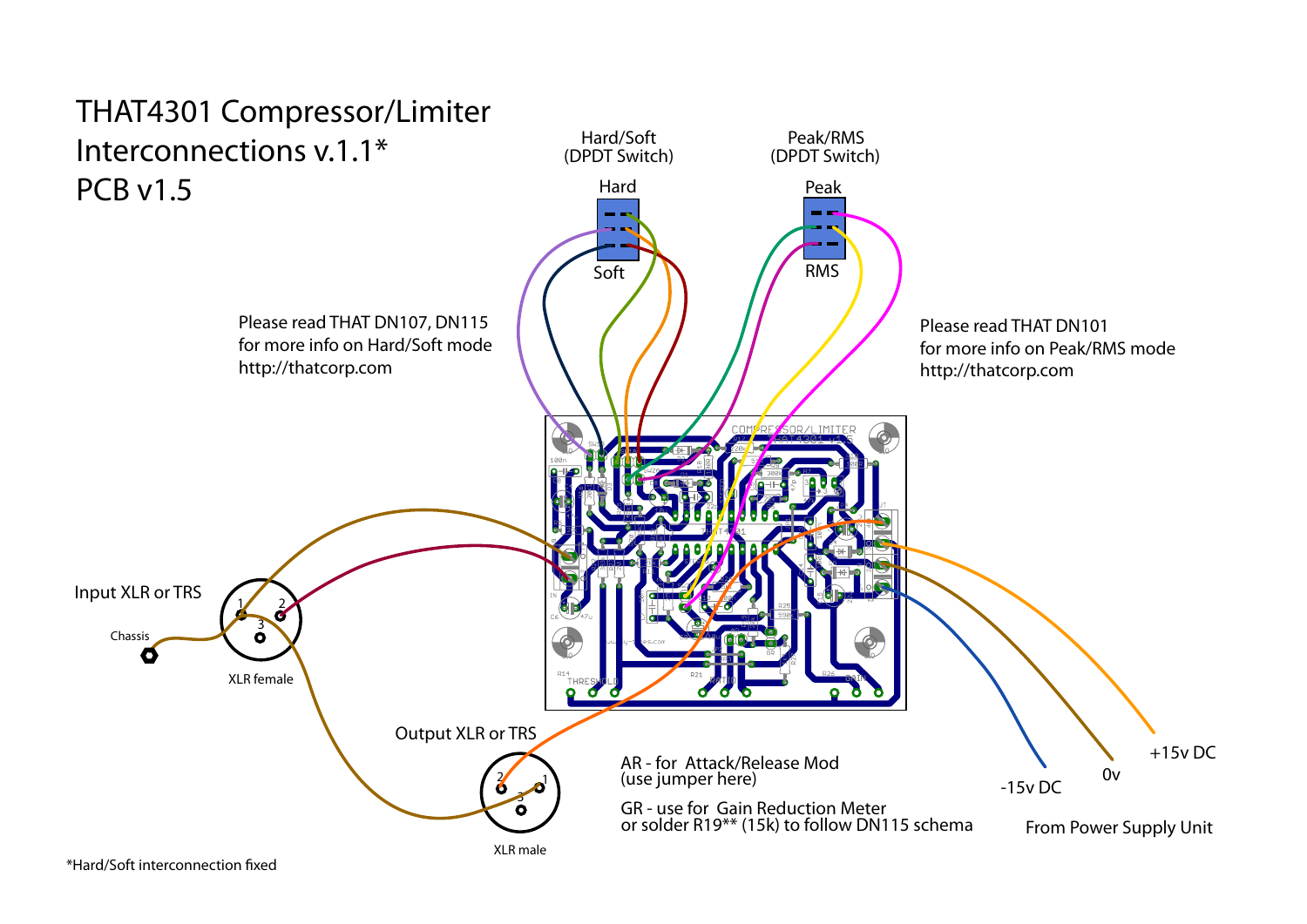

\*Hard/Soft interconnection fixed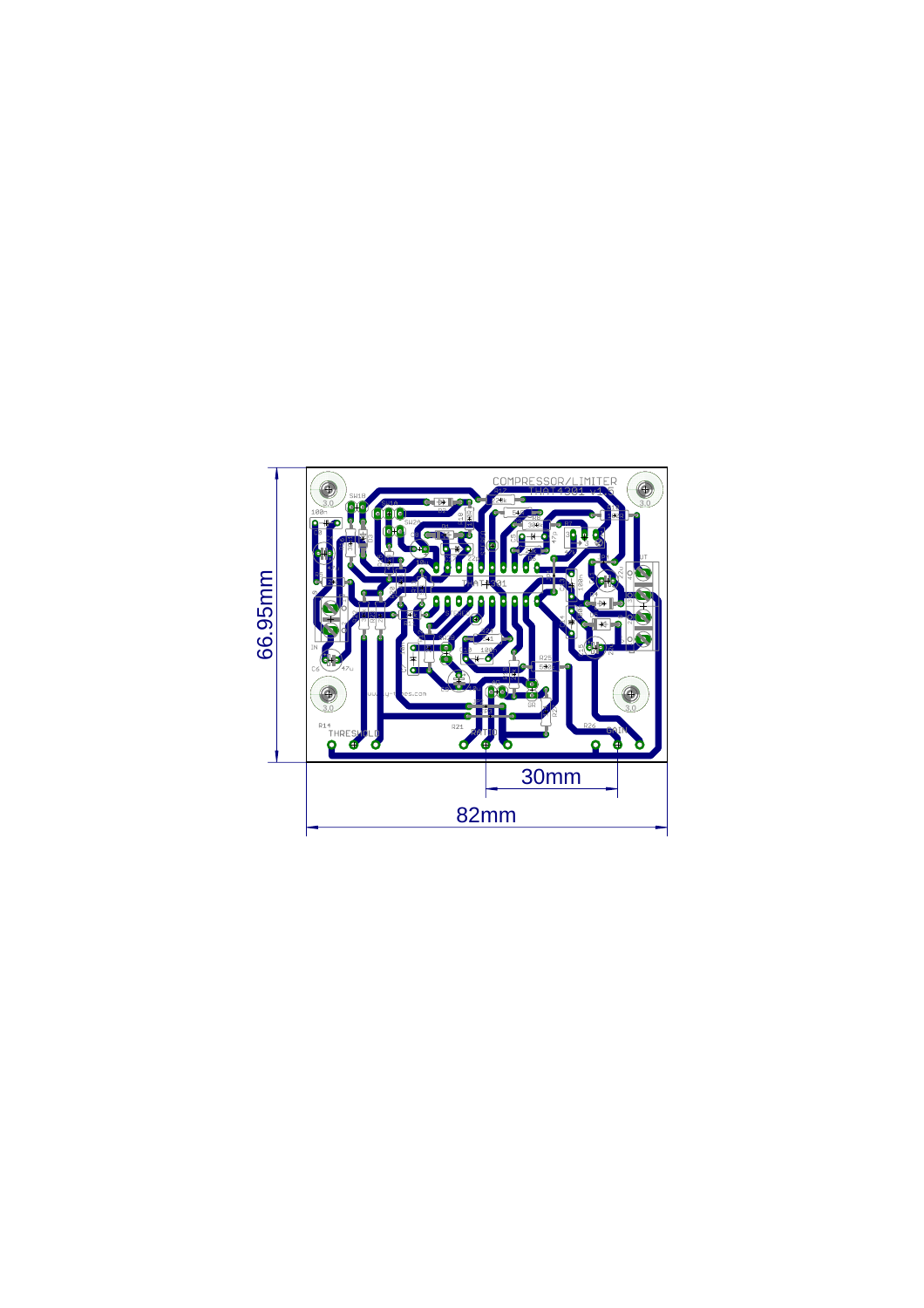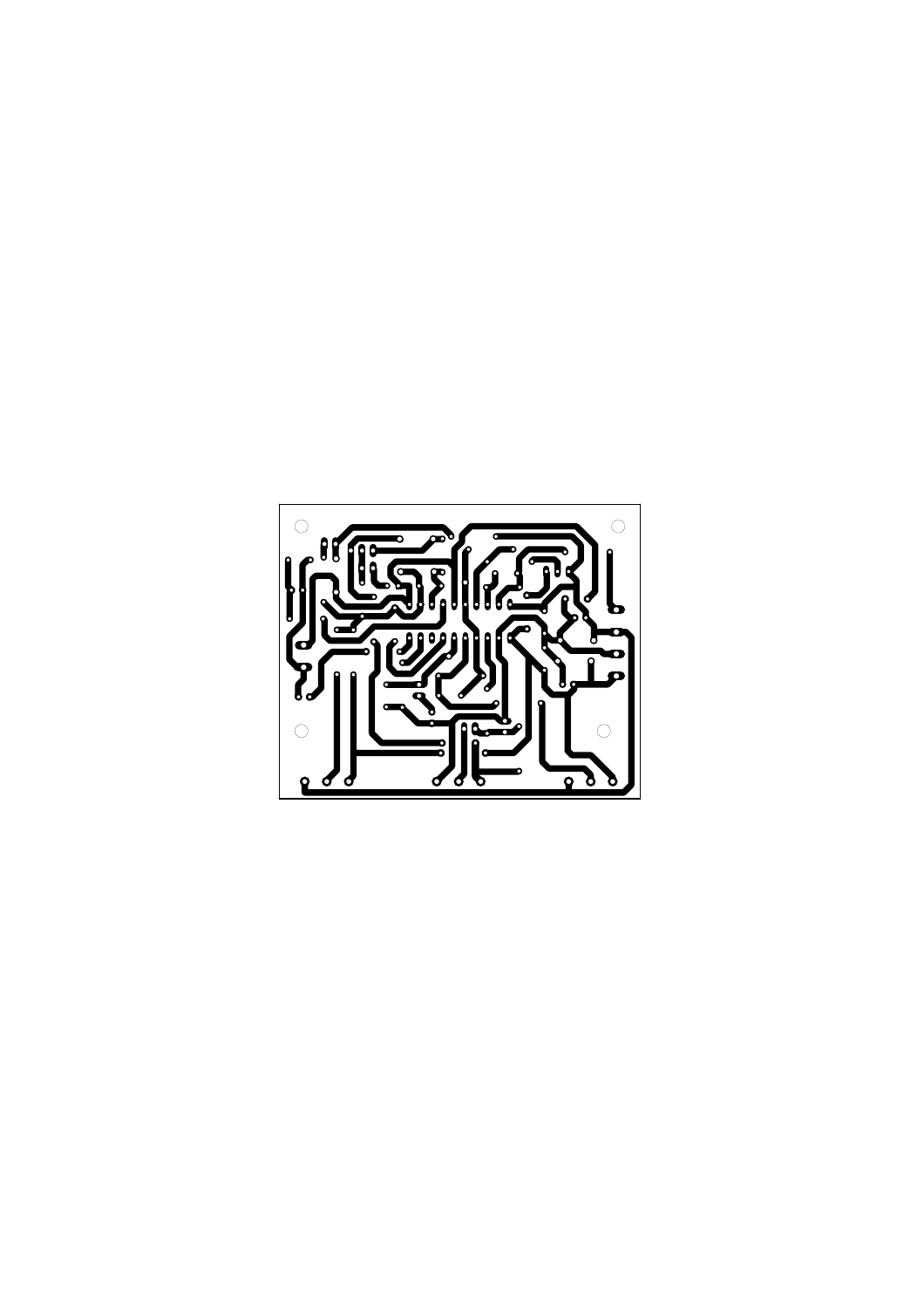